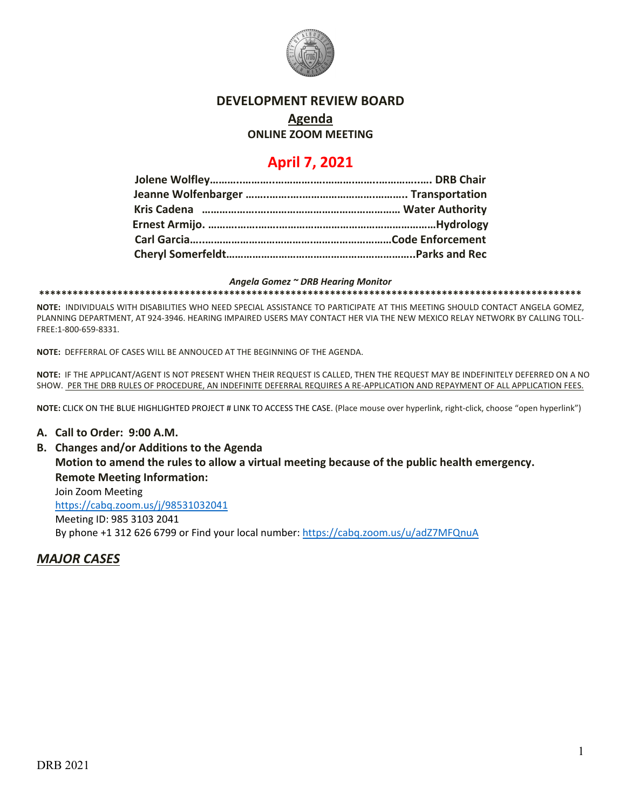

## **DEVELOPMENT REVIEW BOARD**

# **Agenda**

## **ONLINE ZOOM MEETING**

## **April 7, 2021**

#### *Angela Gomez ~ DRB Hearing Monitor*

**\*\*\*\*\*\*\*\*\*\*\*\*\*\*\*\*\*\*\*\*\*\*\*\*\*\*\*\*\*\*\*\*\*\*\*\*\*\*\*\*\*\*\*\*\*\*\*\*\*\*\*\*\*\*\*\*\*\*\*\*\*\*\*\*\*\*\*\*\*\*\*\*\*\*\*\*\*\*\*\*\*\*\*\*\*\*\*\*\*\*\*\*\*\*\*\*\***

**NOTE:** INDIVIDUALS WITH DISABILITIES WHO NEED SPECIAL ASSISTANCE TO PARTICIPATE AT THIS MEETING SHOULD CONTACT ANGELA GOMEZ, PLANNING DEPARTMENT, AT 924-3946. HEARING IMPAIRED USERS MAY CONTACT HER VIA THE NEW MEXICO RELAY NETWORK BY CALLING TOLL-FREE:1-800-659-8331.

**NOTE:** DEFFERRAL OF CASES WILL BE ANNOUCED AT THE BEGINNING OF THE AGENDA.

**NOTE:** IF THE APPLICANT/AGENT IS NOT PRESENT WHEN THEIR REQUEST IS CALLED, THEN THE REQUEST MAY BE INDEFINITELY DEFERRED ON A NO SHOW. PER THE DRB RULES OF PROCEDURE, AN INDEFINITE DEFERRAL REQUIRES A RE-APPLICATION AND REPAYMENT OF ALL APPLICATION FEES.

**NOTE:** CLICK ON THE BLUE HIGHLIGHTED PROJECT # LINK TO ACCESS THE CASE. (Place mouse over hyperlink, right-click, choose "open hyperlink")

## **A. Call to Order: 9:00 A.M.**

**B. Changes and/or Additions to the Agenda Motion to amend the rules to allow a virtual meeting because of the public health emergency. Remote Meeting Information:** 

Join Zoom Meeting <https://cabq.zoom.us/j/98531032041> Meeting ID: 985 3103 2041 By phone +1 312 626 6799 or Find your local number:<https://cabq.zoom.us/u/adZ7MFQnuA>

*MAJOR CASES*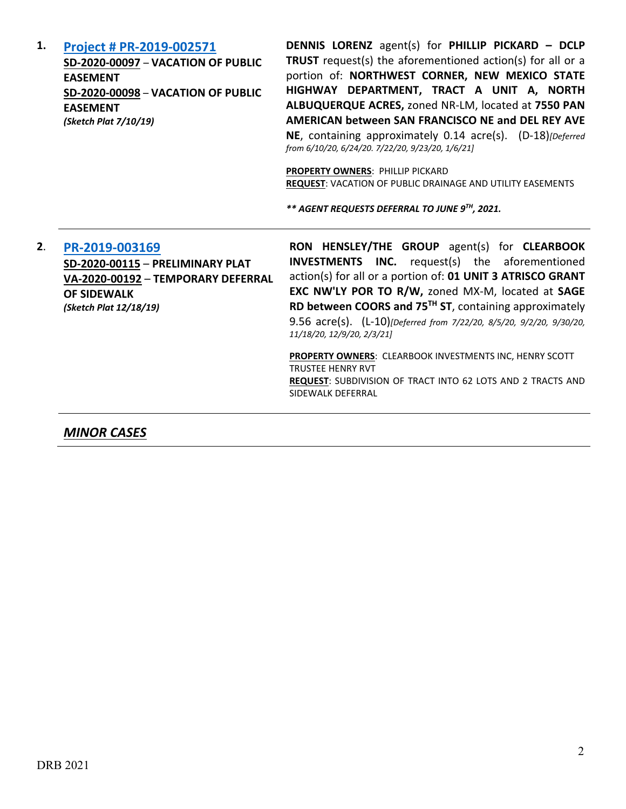| 1. | Project # PR-2019-002571<br>SD-2020-00097 - VACATION OF PUBLIC<br><b>EASEMENT</b><br>SD-2020-00098 - VACATION OF PUBLIC<br><b>EASEMENT</b><br>(Sketch Plat 7/10/19) | <b>DENNIS LORENZ</b> agent(s) for PHILLIP PICKARD - DCLP<br><b>TRUST</b> request(s) the aforementioned action(s) for all or a<br>portion of: NORTHWEST CORNER, NEW MEXICO STATE<br>HIGHWAY DEPARTMENT, TRACT A UNIT A, NORTH<br>ALBUQUERQUE ACRES, zoned NR-LM, located at 7550 PAN<br>AMERICAN between SAN FRANCISCO NE and DEL REY AVE<br>NE, containing approximately 0.14 acre(s). (D-18)[Deferred<br>from 6/10/20, 6/24/20. 7/22/20, 9/23/20, 1/6/21]<br><b>PROPERTY OWNERS: PHILLIP PICKARD</b><br>REQUEST: VACATION OF PUBLIC DRAINAGE AND UTILITY EASEMENTS<br>** AGENT REQUESTS DEFERRAL TO JUNE 9TH, 2021. |
|----|---------------------------------------------------------------------------------------------------------------------------------------------------------------------|----------------------------------------------------------------------------------------------------------------------------------------------------------------------------------------------------------------------------------------------------------------------------------------------------------------------------------------------------------------------------------------------------------------------------------------------------------------------------------------------------------------------------------------------------------------------------------------------------------------------|
| 2. | PR-2019-003169<br>SD-2020-00115 - PRELIMINARY PLAT<br>VA-2020-00192 - TEMPORARY DEFERRAL<br><b>OF SIDEWALK</b><br>(Sketch Plat 12/18/19)                            | RON HENSLEY/THE GROUP agent(s) for CLEARBOOK<br><b>INVESTMENTS INC.</b> request(s) the aforementioned<br>action(s) for all or a portion of: 01 UNIT 3 ATRISCO GRANT<br>EXC NW'LY POR TO R/W, zoned MX-M, located at SAGE<br>RD between COORS and 75 <sup>TH</sup> ST, containing approximately<br>9.56 acre(s). (L-10)[Deferred from 7/22/20, 8/5/20, 9/2/20, 9/30/20,<br>11/18/20, 12/9/20, 2/3/21]<br>PROPERTY OWNERS: CLEARBOOK INVESTMENTS INC, HENRY SCOTT<br><b>TRUSTEE HENRY RVT</b><br><b>REQUEST: SUBDIVISION OF TRACT INTO 62 LOTS AND 2 TRACTS AND</b><br>SIDEWALK DEFERRAL                               |

*MINOR CASES*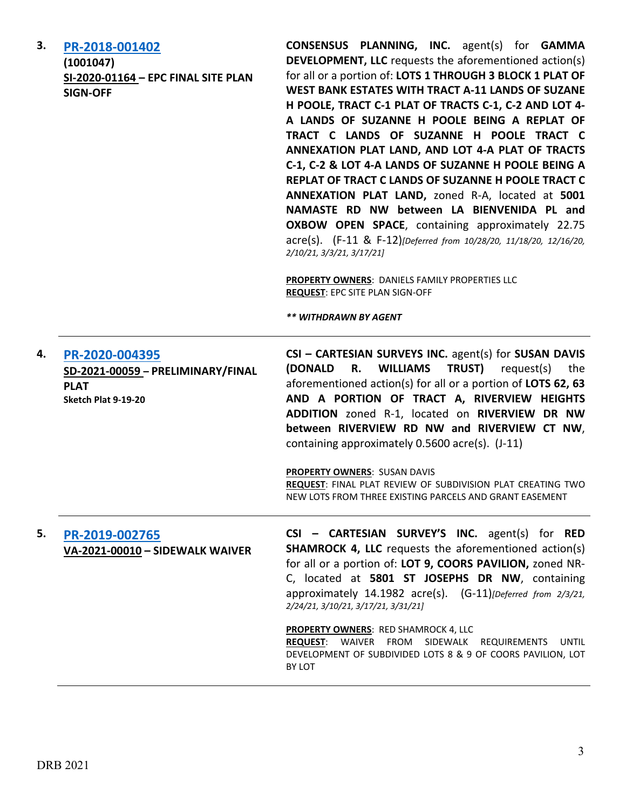| 3. | PR-2018-001402<br>(1001047)<br>SI-2020-01164 - EPC FINAL SITE PLAN<br><b>SIGN-OFF</b>     | <b>CONSENSUS PLANNING, INC.</b> agent(s) for <b>GAMMA</b><br><b>DEVELOPMENT, LLC</b> requests the aforementioned action(s)<br>for all or a portion of: LOTS 1 THROUGH 3 BLOCK 1 PLAT OF<br>WEST BANK ESTATES WITH TRACT A-11 LANDS OF SUZANE<br>H POOLE, TRACT C-1 PLAT OF TRACTS C-1, C-2 AND LOT 4-<br>A LANDS OF SUZANNE H POOLE BEING A REPLAT OF<br>TRACT C LANDS OF SUZANNE H POOLE TRACT C<br>ANNEXATION PLAT LAND, AND LOT 4-A PLAT OF TRACTS<br>C-1, C-2 & LOT 4-A LANDS OF SUZANNE H POOLE BEING A<br>REPLAT OF TRACT C LANDS OF SUZANNE H POOLE TRACT C<br>ANNEXATION PLAT LAND, zoned R-A, located at 5001<br>NAMASTE RD NW between LA BIENVENIDA PL and<br><b>OXBOW OPEN SPACE, containing approximately 22.75</b><br>acre(s). (F-11 & F-12)[Deferred from 10/28/20, 11/18/20, 12/16/20,<br>2/10/21, 3/3/21, 3/17/21]<br>PROPERTY OWNERS: DANIELS FAMILY PROPERTIES LLC<br><b>REQUEST: EPC SITE PLAN SIGN-OFF</b><br>** WITHDRAWN BY AGENT |
|----|-------------------------------------------------------------------------------------------|---------------------------------------------------------------------------------------------------------------------------------------------------------------------------------------------------------------------------------------------------------------------------------------------------------------------------------------------------------------------------------------------------------------------------------------------------------------------------------------------------------------------------------------------------------------------------------------------------------------------------------------------------------------------------------------------------------------------------------------------------------------------------------------------------------------------------------------------------------------------------------------------------------------------------------------------------------|
| 4. | PR-2020-004395<br>SD-2021-00059 - PRELIMINARY/FINAL<br><b>PLAT</b><br>Sketch Plat 9-19-20 | CSI - CARTESIAN SURVEYS INC. agent(s) for SUSAN DAVIS<br>(DONALD<br>R.<br><b>WILLIAMS</b><br><b>TRUST)</b><br>request(s)<br>the<br>aforementioned action(s) for all or a portion of LOTS 62, 63<br>AND A PORTION OF TRACT A, RIVERVIEW HEIGHTS<br>ADDITION zoned R-1, located on RIVERVIEW DR NW<br>between RIVERVIEW RD NW and RIVERVIEW CT NW,<br>containing approximately 0.5600 acre(s). (J-11)<br>PROPERTY OWNERS: SUSAN DAVIS<br>REQUEST: FINAL PLAT REVIEW OF SUBDIVISION PLAT CREATING TWO<br>NEW LOTS FROM THREE EXISTING PARCELS AND GRANT EASEMENT                                                                                                                                                                                                                                                                                                                                                                                           |
| 5. | PR-2019-002765<br>VA-2021-00010 - SIDEWALK WAIVER                                         | CSI - CARTESIAN SURVEY'S INC. agent(s) for RED<br><b>SHAMROCK 4, LLC</b> requests the aforementioned action(s)<br>for all or a portion of: LOT 9, COORS PAVILION, zoned NR-<br>C, located at 5801 ST JOSEPHS DR NW, containing<br>approximately 14.1982 acre(s). (G-11)[Deferred from 2/3/21,<br>2/24/21, 3/10/21, 3/17/21, 3/31/21]<br><b>PROPERTY OWNERS: RED SHAMROCK 4, LLC</b><br>REQUEST: WAIVER FROM SIDEWALK REQUIREMENTS<br>UNTIL<br>DEVELOPMENT OF SUBDIVIDED LOTS 8 & 9 OF COORS PAVILION, LOT<br>BY LOT                                                                                                                                                                                                                                                                                                                                                                                                                                     |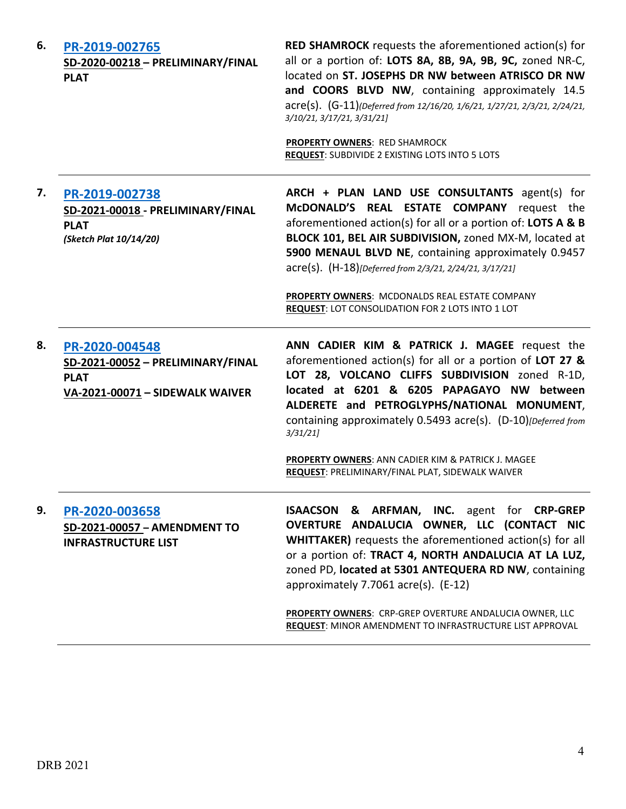| 6. | PR-2019-002765<br>SD-2020-00218 - PRELIMINARY/FINAL<br><b>PLAT</b>                                    | <b>RED SHAMROCK</b> requests the aforementioned action(s) for<br>all or a portion of: LOTS 8A, 8B, 9A, 9B, 9C, zoned NR-C,<br>located on ST. JOSEPHS DR NW between ATRISCO DR NW<br>and COORS BLVD NW, containing approximately 14.5<br>acre(s). (G-11)(Deferred from 12/16/20, 1/6/21, 1/27/21, 2/3/21, 2/24/21,<br>3/10/21, 3/17/21, 3/31/21]<br><b>PROPERTY OWNERS: RED SHAMROCK</b><br>REQUEST: SUBDIVIDE 2 EXISTING LOTS INTO 5 LOTS              |
|----|-------------------------------------------------------------------------------------------------------|--------------------------------------------------------------------------------------------------------------------------------------------------------------------------------------------------------------------------------------------------------------------------------------------------------------------------------------------------------------------------------------------------------------------------------------------------------|
| 7. | PR-2019-002738<br>SD-2021-00018 - PRELIMINARY/FINAL<br><b>PLAT</b><br>(Sketch Plat 10/14/20)          | ARCH + PLAN LAND USE CONSULTANTS agent(s) for<br>McDONALD'S REAL ESTATE COMPANY request the<br>aforementioned action(s) for all or a portion of: LOTS A & B<br>BLOCK 101, BEL AIR SUBDIVISION, zoned MX-M, located at<br>5900 MENAUL BLVD NE, containing approximately 0.9457<br>acre(s). (H-18)[Deferred from 2/3/21, 2/24/21, 3/17/21]<br>PROPERTY OWNERS: MCDONALDS REAL ESTATE COMPANY<br>REQUEST: LOT CONSOLIDATION FOR 2 LOTS INTO 1 LOT         |
| 8. | PR-2020-004548<br>SD-2021-00052 - PRELIMINARY/FINAL<br><b>PLAT</b><br>VA-2021-00071 - SIDEWALK WAIVER | ANN CADIER KIM & PATRICK J. MAGEE request the<br>aforementioned action(s) for all or a portion of LOT 27 &<br>LOT 28, VOLCANO CLIFFS SUBDIVISION zoned R-1D,<br>located at 6201 & 6205 PAPAGAYO NW between<br>ALDERETE and PETROGLYPHS/NATIONAL MONUMENT,<br>containing approximately 0.5493 acre(s). (D-10)[Deferred from<br>3/31/21<br>PROPERTY OWNERS: ANN CADIER KIM & PATRICK J. MAGEE<br>REQUEST: PRELIMINARY/FINAL PLAT, SIDEWALK WAIVER        |
| 9. | PR-2020-003658<br>SD-2021-00057 - AMENDMENT TO<br><b>INFRASTRUCTURE LIST</b>                          | <b>ISAACSON &amp; ARFMAN, INC.</b> agent for CRP-GREP<br>OVERTURE ANDALUCIA OWNER, LLC (CONTACT NIC<br><b>WHITTAKER)</b> requests the aforementioned action(s) for all<br>or a portion of: TRACT 4, NORTH ANDALUCIA AT LA LUZ,<br>zoned PD, located at 5301 ANTEQUERA RD NW, containing<br>approximately 7.7061 acre(s). (E-12)<br>PROPERTY OWNERS: CRP-GREP OVERTURE ANDALUCIA OWNER, LLC<br>REQUEST: MINOR AMENDMENT TO INFRASTRUCTURE LIST APPROVAL |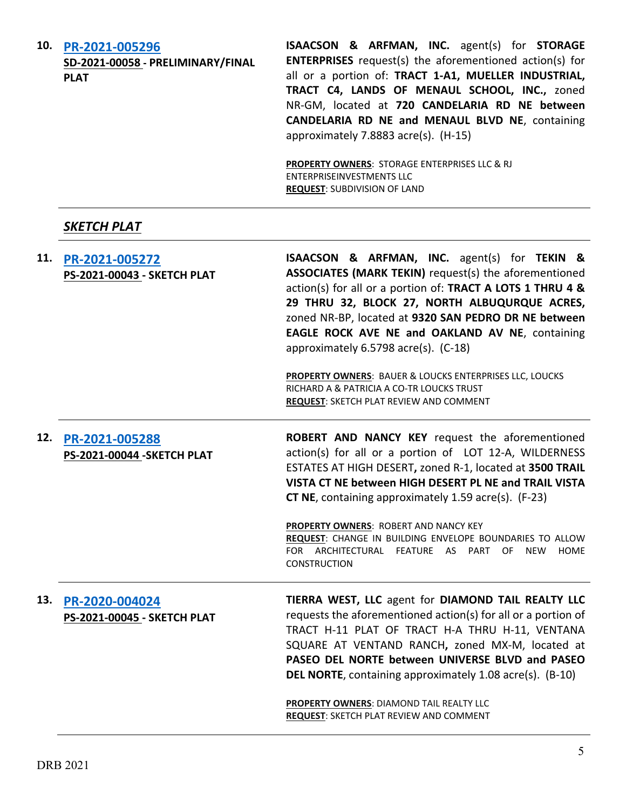| 10. | PR-2021-005296<br>SD-2021-00058 - PRELIMINARY/FINAL<br><b>PLAT</b> | <b>ISAACSON &amp; ARFMAN, INC.</b> agent(s) for <b>STORAGE</b><br><b>ENTERPRISES</b> request(s) the aforementioned action(s) for<br>all or a portion of: TRACT 1-A1, MUELLER INDUSTRIAL,<br>TRACT C4, LANDS OF MENAUL SCHOOL, INC., zoned<br>NR-GM, located at 720 CANDELARIA RD NE between<br>CANDELARIA RD NE and MENAUL BLVD NE, containing<br>approximately 7.8883 acre(s). (H-15)      |
|-----|--------------------------------------------------------------------|---------------------------------------------------------------------------------------------------------------------------------------------------------------------------------------------------------------------------------------------------------------------------------------------------------------------------------------------------------------------------------------------|
|     |                                                                    | PROPERTY OWNERS: STORAGE ENTERPRISES LLC & RJ<br><b>ENTERPRISEINVESTMENTS LLC</b><br><b>REQUEST: SUBDIVISION OF LAND</b>                                                                                                                                                                                                                                                                    |
|     | SKETCH PLAT                                                        |                                                                                                                                                                                                                                                                                                                                                                                             |
| 11. | PR-2021-005272<br>PS-2021-00043 - SKETCH PLAT                      | <b>ISAACSON &amp; ARFMAN, INC.</b> agent(s) for TEKIN &<br>ASSOCIATES (MARK TEKIN) request(s) the aforementioned<br>action(s) for all or a portion of: TRACT A LOTS 1 THRU 4 &<br>29 THRU 32, BLOCK 27, NORTH ALBUQURQUE ACRES,<br>zoned NR-BP, located at 9320 SAN PEDRO DR NE between<br>EAGLE ROCK AVE NE and OAKLAND AV NE, containing<br>approximately 6.5798 acre(s). (C-18)          |
|     |                                                                    | PROPERTY OWNERS: BAUER & LOUCKS ENTERPRISES LLC, LOUCKS<br>RICHARD A & PATRICIA A CO-TR LOUCKS TRUST<br><b>REQUEST: SKETCH PLAT REVIEW AND COMMENT</b>                                                                                                                                                                                                                                      |
| 12. | PR-2021-005288<br>PS-2021-00044 - SKETCH PLAT                      | ROBERT AND NANCY KEY request the aforementioned<br>action(s) for all or a portion of LOT 12-A, WILDERNESS<br>ESTATES AT HIGH DESERT, zoned R-1, located at 3500 TRAIL<br>VISTA CT NE between HIGH DESERT PL NE and TRAIL VISTA<br><b>CT NE</b> , containing approximately 1.59 acre(s). (F-23)                                                                                              |
|     |                                                                    | <b>PROPERTY OWNERS: ROBERT AND NANCY KEY</b><br>REQUEST: CHANGE IN BUILDING ENVELOPE BOUNDARIES TO ALLOW<br>FOR ARCHITECTURAL FEATURE AS PART OF<br>NEW<br>HOME<br><b>CONSTRUCTION</b>                                                                                                                                                                                                      |
| 13. | PR-2020-004024<br>PS-2021-00045 - SKETCH PLAT                      | TIERRA WEST, LLC agent for DIAMOND TAIL REALTY LLC<br>requests the aforementioned action(s) for all or a portion of<br>TRACT H-11 PLAT OF TRACT H-A THRU H-11, VENTANA<br>SQUARE AT VENTAND RANCH, zoned MX-M, located at<br>PASEO DEL NORTE between UNIVERSE BLVD and PASEO<br><b>DEL NORTE, containing approximately 1.08 acre(s). (B-10)</b><br>PROPERTY OWNERS: DIAMOND TAIL REALTY LLC |
|     |                                                                    | <b>REQUEST: SKETCH PLAT REVIEW AND COMMENT</b>                                                                                                                                                                                                                                                                                                                                              |